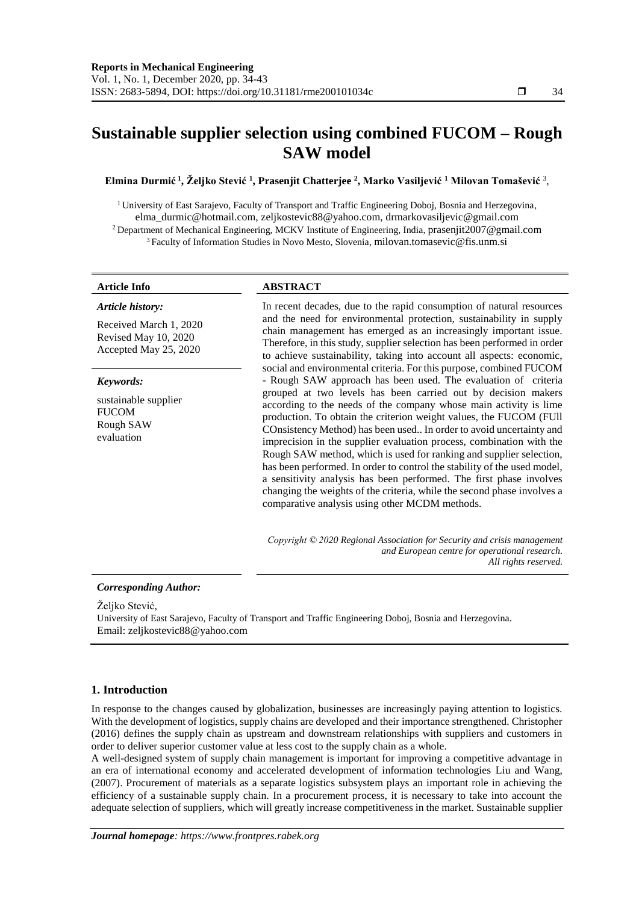# **Sustainable supplier selection using combined FUCOM – Rough SAW model**

**Elmina Durmić <sup>1</sup> , Željko Stević <sup>1</sup> , Prasenjit Chatterjee <sup>2</sup> , Marko Vasiljević <sup>1</sup> Milovan Tomašević** <sup>3</sup> ,

<sup>1</sup> University of East Sarajevo, Faculty of Transport and Traffic Engineering Doboj, Bosnia and Herzegovina, elma\_durmic@hotmail.com, zeljkostevic88@yahoo.com, drmarkovasiljevic@gmail.com <sup>2</sup> Department of Mechanical Engineering, MCKV Institute of Engineering, India, prasenjit2007@gmail.com <sup>3</sup>Faculty of Information Studies in Novo Mesto, Slovenia, milovan.tomasevic@fis.unm.si

# **Article Info ABSTRACT**

| Article history:<br>Received March 1, 2020<br>Revised May 10, 2020<br>Accepted May 25, 2020 | In recent decades, due to the rapid consumption of natural resources<br>and the need for environmental protection, sustainability in supply<br>chain management has emerged as an increasingly important issue.<br>Therefore, in this study, supplier selection has been performed in order<br>to achieve sustainability, taking into account all aspects: economic,                                                                                                                                                                                                                                                                                                                                                                                                                                                                                    |  |
|---------------------------------------------------------------------------------------------|---------------------------------------------------------------------------------------------------------------------------------------------------------------------------------------------------------------------------------------------------------------------------------------------------------------------------------------------------------------------------------------------------------------------------------------------------------------------------------------------------------------------------------------------------------------------------------------------------------------------------------------------------------------------------------------------------------------------------------------------------------------------------------------------------------------------------------------------------------|--|
| Keywords:<br>sustainable supplier<br><b>FUCOM</b><br>Rough SAW<br>evaluation                | social and environmental criteria. For this purpose, combined FUCOM<br>- Rough SAW approach has been used. The evaluation of criteria<br>grouped at two levels has been carried out by decision makers<br>according to the needs of the company whose main activity is lime<br>production. To obtain the criterion weight values, the FUCOM (FUII<br>COnsistency Method) has been used In order to avoid uncertainty and<br>imprecision in the supplier evaluation process, combination with the<br>Rough SAW method, which is used for ranking and supplier selection,<br>has been performed. In order to control the stability of the used model,<br>a sensitivity analysis has been performed. The first phase involves<br>changing the weights of the criteria, while the second phase involves a<br>comparative analysis using other MCDM methods. |  |
|                                                                                             | Copyright $\odot$ 2020 Regional Association for Security and crisis management                                                                                                                                                                                                                                                                                                                                                                                                                                                                                                                                                                                                                                                                                                                                                                          |  |

*and European centre for operational research. All rights reserved.*

## *Corresponding Author:*

Željko Stević,

University of East Sarajevo, Faculty of Transport and Traffic Engineering Doboj, Bosnia and Herzegovina. Email: zeljkostevic88@yahoo.com

# **1. Introduction**

In response to the changes caused by globalization, businesses are increasingly paying attention to logistics. With the development of logistics, supply chains are developed and their importance strengthened. Christopher (2016) defines the supply chain as upstream and downstream relationships with suppliers and customers in order to deliver superior customer value at less cost to the supply chain as a whole.

A well-designed system of supply chain management is important for improving a competitive advantage in an era of international economy and accelerated development of information technologies Liu and Wang, (2007). Procurement of materials as a separate logistics subsystem plays an important role in achieving the efficiency of a sustainable supply chain. In a procurement process, it is necessary to take into account the adequate selection of suppliers, which will greatly increase competitiveness in the market. Sustainable supplier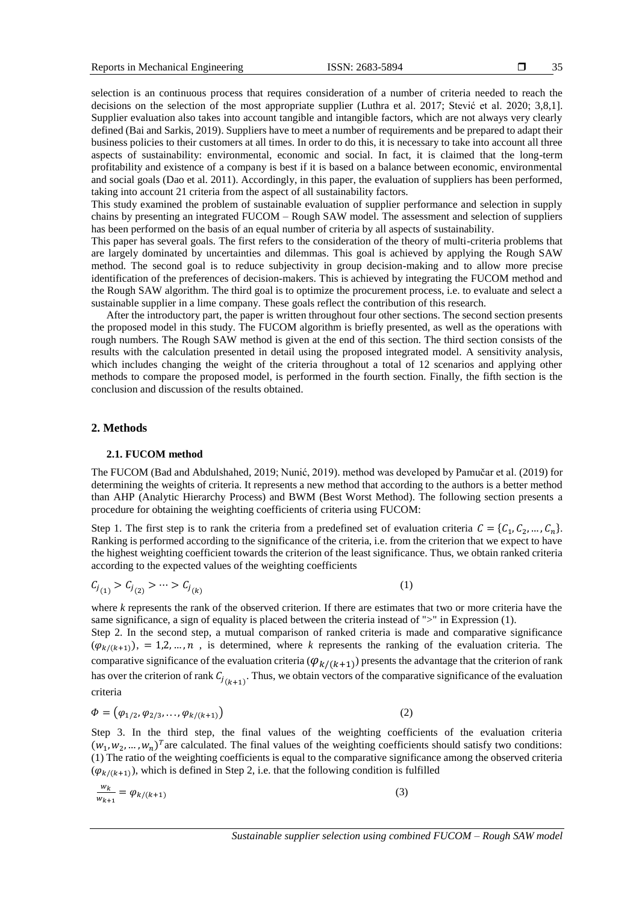selection is an continuous process that requires consideration of a number of criteria needed to reach the decisions on the selection of the most appropriate supplier (Luthra et al. 2017; Stević et al. 2020; 3,8,1]. Supplier evaluation also takes into account tangible and intangible factors, which are not always very clearly defined (Bai and Sarkis, 2019). Suppliers have to meet a number of requirements and be prepared to adapt their business policies to their customers at all times. In order to do this, it is necessary to take into account all three aspects of sustainability: environmental, economic and social. In fact, it is claimed that the long-term profitability and existence of a company is best if it is based on a balance between economic, environmental and social goals (Dao et al. 2011). Accordingly, in this paper, the evaluation of suppliers has been performed, taking into account 21 criteria from the aspect of all sustainability factors.

This study examined the problem of sustainable evaluation of supplier performance and selection in supply chains by presenting an integrated FUCOM – Rough SAW model. The assessment and selection of suppliers has been performed on the basis of an equal number of criteria by all aspects of sustainability.

This paper has several goals. The first refers to the consideration of the theory of multi-criteria problems that are largely dominated by uncertainties and dilemmas. This goal is achieved by applying the Rough SAW method. The second goal is to reduce subjectivity in group decision-making and to allow more precise identification of the preferences of decision-makers. This is achieved by integrating the FUCOM method and the Rough SAW algorithm. The third goal is to optimize the procurement process, i.e. to evaluate and select a sustainable supplier in a lime company. These goals reflect the contribution of this research.

After the introductory part, the paper is written throughout four other sections. The second section presents the proposed model in this study. The FUCOM algorithm is briefly presented, as well as the operations with rough numbers. The Rough SAW method is given at the end of this section. The third section consists of the results with the calculation presented in detail using the proposed integrated model. A sensitivity analysis, which includes changing the weight of the criteria throughout a total of 12 scenarios and applying other methods to compare the proposed model, is performed in the fourth section. Finally, the fifth section is the conclusion and discussion of the results obtained.

#### **2. Methods**

#### **2.1. FUCOM method**

The FUCOM (Bad and Abdulshahed, 2019; Nunić, 2019). method was developed by Pamučar et al. (2019) for determining the weights of criteria. It represents a new method that according to the authors is a better method than AHP (Analytic Hierarchy Process) and BWM (Best Worst Method). The following section presents a procedure for obtaining the weighting coefficients of criteria using FUCOM:

Step 1. The first step is to rank the criteria from a predefined set of evaluation criteria  $C = \{C_1, C_2, ..., C_n\}$ . Ranking is performed according to the significance of the criteria, i.e. from the criterion that we expect to have the highest weighting coefficient towards the criterion of the least significance. Thus, we obtain ranked criteria according to the expected values of the weighting coefficients

$$
C_{j_{(1)}} > C_{j_{(2)}} > \dots > C_{j_{(k)}} \tag{1}
$$

where *k* represents the rank of the observed criterion. If there are estimates that two or more criteria have the same significance, a sign of equality is placed between the criteria instead of ">" in Expression (1).

Step 2. In the second step, a mutual comparison of ranked criteria is made and comparative significance  $(\varphi_{k/(k+1)})$ , = 1,2, ..., *n*, is determined, where *k* represents the ranking of the evaluation criteria. The comparative significance of the evaluation criteria ( $\varphi_{k/(k+1)}$ ) presents the advantage that the criterion of rank has over the criterion of rank  $C_{j_{(k+1)}}$ . Thus, we obtain vectors of the comparative significance of the evaluation criteria

$$
\Phi = (\varphi_{1/2}, \varphi_{2/3}, \dots, \varphi_{k/(k+1)})
$$
\n(2)

Step 3. In the third step, the final values of the weighting coefficients of the evaluation criteria  $(w_1, w_2, ..., w_n)^T$  are calculated. The final values of the weighting coefficients should satisfy two conditions: (1) The ratio of the weighting coefficients is equal to the comparative significance among the observed criteria  $(\varphi_{k/(k+1)})$ , which is defined in Step 2, i.e. that the following condition is fulfilled

$$
\frac{w_k}{w_{k+1}} = \varphi_{k/(k+1)}\tag{3}
$$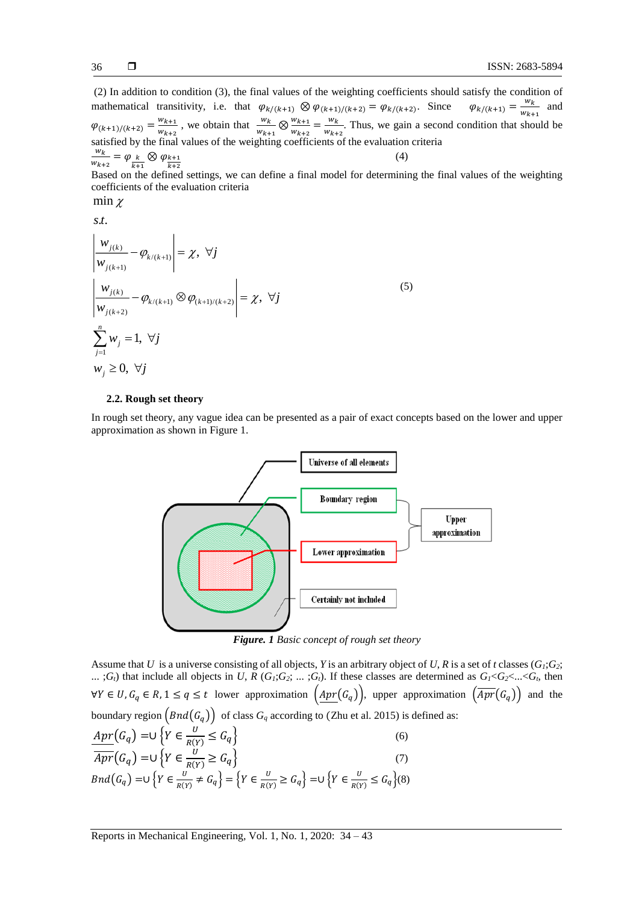(2) In addition to condition (3), the final values of the weighting coefficients should satisfy the condition of mathematical transitivity, i.e. that  $\varphi_{k/(k+1)} \otimes \varphi_{(k+1)/(k+2)} = \varphi_{k/(k+2)}$ . Since  $\varphi_{k/(k+1)} = \frac{w_k}{w_{k+1}}$  and  $W_{k+1}$  $\varphi_{(k+1)/(k+2)} = \frac{w_{k+1}}{w_{k+2}}$  $\frac{w_{k+1}}{w_{k+2}}$ , we obtain that  $\frac{w_k}{w_{k+1}} \otimes \frac{w_{k+1}}{w_{k+2}}$  $\frac{w_{k+1}}{w_{k+2}} = \frac{w_k}{w_{k+2}}$  $\frac{W}{W_{k+2}}$ . Thus, we gain a second condition that should be satisfied by the final values of the weighting coefficients of the evaluation criteria  $w_k$  $\frac{W_K}{W_{k+2}} = \varphi_{\frac{k}{k+1}} \otimes \varphi_{\frac{k+1}{k+2}}$ (4)

Based on the defined settings, we can define a final model for determining the final values of the weighting coefficients of the evaluation criteria

min  $\chi$ 

 $(k)$  $\frac{j(k)}{k} - \varphi_{k/(k+1)} = \chi,$  $(k+1)$  $(k)$  $/(k+1)$   $\sim$   $\mathcal{V}(k+1)/(k+2)$  $(k+2)$ 1 . . *s t* ,  $\sum_{i=1}^{n} w_i = 1$ ,  $w_j \geq 0, \forall j$ *j k*  $\frac{j(k)}{k}$  -  $\varphi_{k/(k+1)} \otimes \varphi_{(k+1)/(k)}$ *j k j j*  $\left|\frac{W_{j(k)}}{W_{j(k+1)}}-\varphi_{k/(k+1)}\right|=\chi, \ \forall j$  $\left|\frac{W_{j(k)}}{W_{j(k+1)}} - \varphi_{k/(k+1)} \otimes \varphi_{(k+1)/(k+2)}\right| = \chi, \; \forall j$  $\sum_{j=1}^{j} w_j = 1, \ \forall j$ + +  $-\varphi_{\kappa(\alpha,\alpha)}|=\gamma, \forall$  $-\varphi_{\omega} \otimes \varphi_{\omega}$   $|\varphi| \geq \chi$ ,  $\forall$  $\sum w_j = 1, \forall$ (5)

#### **2.2. Rough set theory**

In rough set theory, any vague idea can be presented as a pair of exact concepts based on the lower and upper approximation as shown in Figure 1.



*Figure. 1 Basic concept of rough set theory*

Assume that *U* is a universe consisting of all objects, *Y* is an arbitrary object of *U*, *R* is a set of *t* classes (*G1*;*G2*; ...;  $G_l$ ) that include all objects in U, R  $(G_l; G_2; \ldots; G_l)$ . If these classes are determined as  $G_l < G_2 < \ldots < G_l$ , then  $\forall Y \in U, G_q \in R, 1 \le q \le t$  lower approximation  $\left(\frac{Apr(G_q)}{\}$ , upper approximation  $\left(\overline{Apr}(G_q)\right)$  and the boundary region  $\left(Bnd(G_q)\right)$  of class  $G_q$  according to (Zhu et al. 2015) is defined as:

$$
\frac{Apr(G_q) = \bigcup \left\{ Y \in \frac{U}{R(Y)} \le G_q \right\}}{\overline{Apr}(G_q) = \bigcup \left\{ Y \in \frac{U}{R(Y)} \ge G_q \right\}} \tag{6}
$$
\n
$$
Bnd(G_q) = \bigcup \left\{ Y \in \frac{U}{R(Y)} \ne G_q \right\} = \left\{ Y \in \frac{U}{R(Y)} \ge G_q \right\} = \bigcup \left\{ Y \in \frac{U}{R(Y)} \le G_q \right\} \tag{7}
$$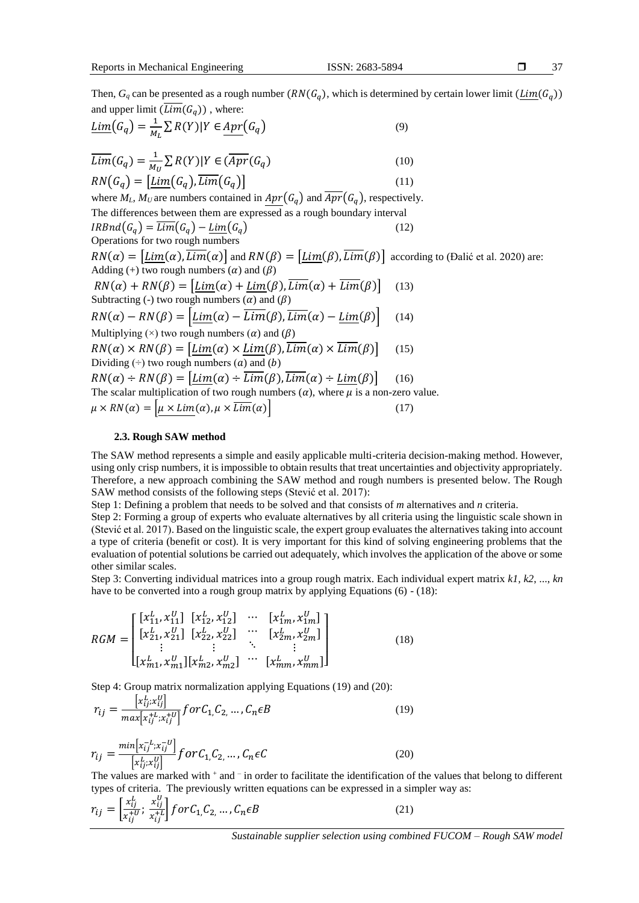Then,  $G_q$  can be presented as a rough number  $(RN(G_q)$ , which is determined by certain lower limit  $(\underline{Lim}(G_q))$ and upper limit  $(Lim(G_a))$ , where:

$$
\underline{\lim}(G_q) = \frac{1}{M_L} \sum R(Y) | Y \in \underline{Apr}(G_q)
$$
\n(9)

$$
\overline{Lim}(G_q) = \frac{1}{M_U} \sum R(Y) | Y \in (\overline{Apr}(G_q)
$$
\n
$$
PN(G_n) - [Lim(G_n) \overline{Lim}(G_n)] \tag{11}
$$

 $RN(G_q) = [Lim(G_q), Lim(G_q)]$  (11) where  $M_L$ ,  $M_U$  are numbers contained in  $Apr(G_q)$  and  $\overline{Apr}(G_q)$ , respectively. The differences between them are expressed as a rough boundary interval  $IRBnd(G_q) = \overline{Lim}(G_q) - \underline{Lim}(G_q)$  (12) Operations for two rough numbers  $RN(\alpha) = [Lim(\alpha), \overline{Lim}(\alpha)]$  and  $RN(\beta) = [Lim(\beta), \overline{Lim}(\beta)]$  according to (Đalić et al. 2020) are: Adding (+) two rough numbers  $(\alpha)$  and  $(\beta)$  $RN(\alpha) + RN(\beta) = [Lim(\alpha) + Lim(\beta), Lim(\alpha) + Lim(\beta)]$  (13) Subtracting (-) two rough numbers  $(\alpha)$  and  $(\beta)$  $RN(\alpha) - RN(\beta) = \left[ \underline{Lim}(\alpha) - \overline{Lim}(\beta), \overline{Lim}(\alpha) - \underline{Lim}(\beta) \right]$  (14) Multiplying ( $\times$ ) two rough numbers ( $\alpha$ ) and ( $\beta$ )  $RN(\alpha) \times RN(\beta) = [Lim(\alpha) \times Lim(\beta), Lim(\alpha) \times Lim(\beta)]$  (15) Dividing  $(\div)$  two rough numbers  $(a)$  and  $(b)$  $RN(\alpha) \div RN(\beta) = [Lim(\alpha) \div \overline{Lim}(\beta), \overline{Lim}(\alpha) \div Lim(\beta)]$  (16) The scalar multiplication of two rough numbers  $(\alpha)$ , where  $\mu$  is a non-zero value.  $\mu \times RN(\alpha) = \left| \mu \times Lim(\alpha), \mu \times \overline{Lim}(\alpha) \right|$  (17)

# **2.3. Rough SAW method**

The SAW method represents a simple and easily applicable multi-criteria decision-making method. However, using only crisp numbers, it is impossible to obtain results that treat uncertainties and objectivity appropriately. Therefore, a new approach combining the SAW method and rough numbers is presented below. The Rough SAW method consists of the following steps (Stević et al. 2017):

Step 1: Defining a problem that needs to be solved and that consists of *m* alternatives and *n* criteria.

Step 2: Forming a group of experts who evaluate alternatives by all criteria using the linguistic scale shown in (Stević et al. 2017). Based on the linguistic scale, the expert group evaluates the alternatives taking into account a type of criteria (benefit or cost). It is very important for this kind of solving engineering problems that the evaluation of potential solutions be carried out adequately, which involves the application of the above or some other similar scales.

Step 3: Converting individual matrices into a group rough matrix. Each individual expert matrix *k1, k2*, ..., *kn* have to be converted into a rough group matrix by applying Equations (6) - (18):

$$
RGM = \begin{bmatrix} [x_{11}^L, x_{11}^U] & [x_{12}^L, x_{12}^U] & \cdots & [x_{1m}^L, x_{1m}^U] \\ [x_{21}^L, x_{21}^U] & [x_{22}^L, x_{22}^U] & \cdots & [x_{2m}^L, x_{2m}^U] \\ \vdots & \vdots & \ddots & \vdots \\ [x_{m1}^L, x_{m1}^U] [x_{m2}^L, x_{m2}^U] & \cdots & [x_{mm}^L, x_{mm}^U] \end{bmatrix}
$$
(18)

Step 4: Group matrix normalization applying Equations (19) and (20):

$$
r_{ij} = \frac{\left[x_{ij}^L; x_{ij}^U\right]}{\max\left[x_{ij}^L; x_{ij}^U\right]} \text{for } C_{1, C_{2, \dots, C_{n}} \in B
$$
\n(19)

$$
r_{ij} = \frac{\min[x_{ij}^{-L}:x_{ij}^{-U}]}{[x_{ij}^{L}:x_{ij}^{U}]} \quad \text{for } C_{1,C_{2}} \dots, C_{n} \in C
$$
\n
$$
(20)
$$

The values are marked with  $^+$  and  $^-$  in order to facilitate the identification of the values that belong to different types of criteria. The previously written equations can be expressed in a simpler way as:

$$
r_{ij} = \left[\frac{x_{ij}^L}{x_{ij}^{+U}}; \frac{x_{ij}^U}{x_{ij}^{+L}}\right] \text{ for } C_{1,} C_{2,} \dots, C_{n} \in B
$$
 (21)

*Sustainable supplier selection using combined FUCOM – Rough SAW model*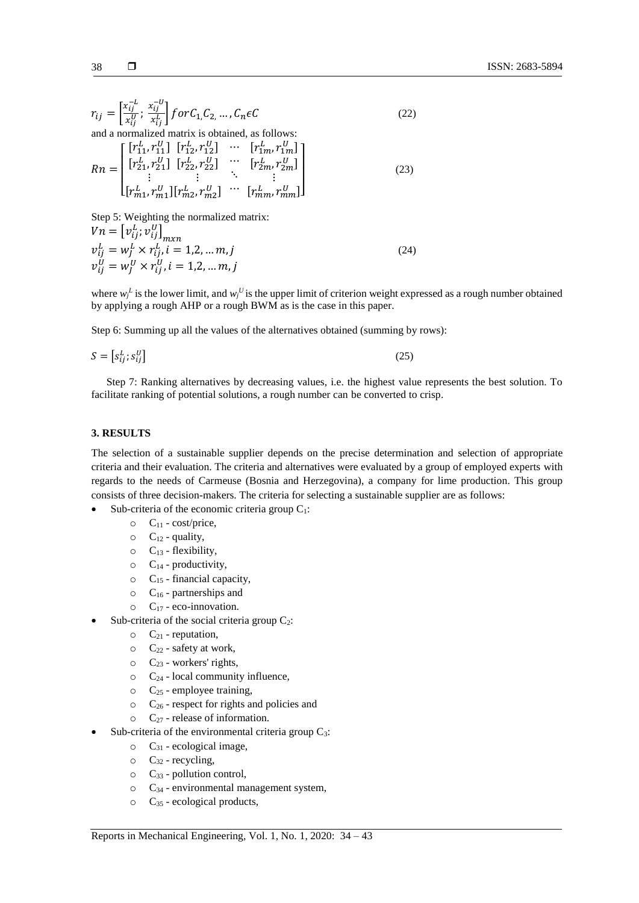$$
38 \qquad \qquad 1
$$

$$
r_{ij} = \begin{bmatrix} \frac{x_{ij}^{-L}}{y} & \frac{x_{ij}^{-U}}{y} \end{bmatrix} \text{for } C_1, C_2, \dots, C_n \in C
$$
 (22)  
and a normalized matrix is obtained, as follows:  

$$
Rn = \begin{bmatrix} \begin{bmatrix} r_{11}^L, r_{11}^U \end{bmatrix} & \begin{bmatrix} r_{12}^L, r_{12}^U \end{bmatrix} & \cdots & \begin{bmatrix} r_{1m}^L, r_{1m}^U \end{bmatrix} \\ \begin{bmatrix} r_{21}^L, r_{21}^U \end{bmatrix} & \begin{bmatrix} r_{22}^L, r_{22}^U \end{bmatrix} & \cdots & \begin{bmatrix} r_{2m}^L, r_{2m}^U \end{bmatrix} \\ \vdots & \vdots & \ddots & \vdots \\ \begin{bmatrix} r_{m1}^L, r_{m1}^U \end{bmatrix} & \begin{bmatrix} r_{m2}^L, r_{m2}^U \end{bmatrix} & \cdots & \begin{bmatrix} r_{mm}^L, r_{mm}^U \end{bmatrix} \end{bmatrix}
$$
 (23)

Step 5: Weighting the normalized matrix:  $V_n = \left[v_{ij}^L; v_{ij}^U\right]_{m x n}$  $v_{ij}^L = w_j^L \times r_{ij}^L, i = 1, 2, ..., m, j$  (24)  $v_{ij}^U = w_j^U \times r_{ij}^U, i = 1, 2, ..., m, j$ 

where  $w_j^L$  is the lower limit, and  $w_j^U$  is the upper limit of criterion weight expressed as a rough number obtained by applying a rough AHP or a rough BWM as is the case in this paper.

Step 6: Summing up all the values of the alternatives obtained (summing by rows):

$$
S = \left[ s_{ij}^L; s_{ij}^U \right] \tag{25}
$$

Step 7: Ranking alternatives by decreasing values, i.e. the highest value represents the best solution. To facilitate ranking of potential solutions, a rough number can be converted to crisp.

#### **3. RESULTS**

The selection of a sustainable supplier depends on the precise determination and selection of appropriate criteria and their evaluation. The criteria and alternatives were evaluated by a group of employed experts with regards to the needs of Carmeuse (Bosnia and Herzegovina), a company for lime production. This group consists of three decision-makers. The criteria for selecting a sustainable supplier are as follows:

- Sub-criteria of the economic criteria group  $C_1$ :
	- $\circ$  C<sub>11</sub> cost/price,
		- $\circ$  C<sub>12</sub> quality,
		- $\circ$  C<sub>13</sub> flexibility,
		- $\circ$  C<sub>14</sub> productivity,
		- $\circ$  C<sub>15</sub> financial capacity,
		- $\circ$  C<sub>16</sub> partnerships and
		- $\circ$  C<sub>17</sub> eco-innovation.
	- Sub-criteria of the social criteria group  $C_2$ :
		- $\circ$   $C_{21}$  reputation,
		- $\circ$   $C_{22}$  safety at work,
		- $\circ$  C<sub>23</sub> workers' rights,
		- $\circ$  C<sub>24</sub> local community influence,
		- $\circ$   $C_{25}$  employee training,
		- $\circ$   $C_{26}$  respect for rights and policies and
		- $\circ$  C<sub>27</sub> release of information.
	- Sub-criteria of the environmental criteria group C<sub>3</sub>:
		- $\circ$   $C_{31}$  ecological image,
		- $\circ$  C<sub>32</sub> recycling,
		- $\circ$   $C_{33}$  pollution control,
		- $\circ$   $C_{34}$  environmental management system,
		- $\circ$   $C_{35}$  ecological products,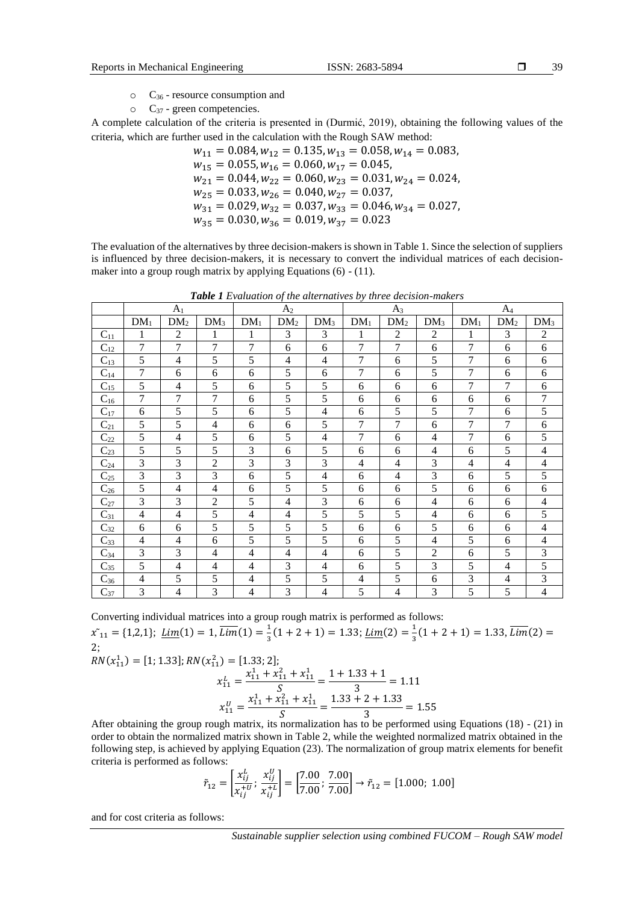- o C<sup>36</sup> resource consumption and
- $\circ$   $C_{37}$  green competencies.

A complete calculation of the criteria is presented in (Durmić, 2019), obtaining the following values of the criteria, which are further used in the calculation with the Rough SAW method:

$$
w_{11} = 0.084, w_{12} = 0.135, w_{13} = 0.058, w_{14} = 0.083,
$$
  
\n
$$
w_{15} = 0.055, w_{16} = 0.060, w_{17} = 0.045,
$$
  
\n
$$
w_{21} = 0.044, w_{22} = 0.060, w_{23} = 0.031, w_{24} = 0.024,
$$
  
\n
$$
w_{25} = 0.033, w_{26} = 0.040, w_{27} = 0.037,
$$
  
\n
$$
w_{31} = 0.029, w_{32} = 0.037, w_{33} = 0.046, w_{34} = 0.027,
$$
  
\n
$$
w_{35} = 0.030, w_{36} = 0.019, w_{37} = 0.023
$$

The evaluation of the alternatives by three decision-makers is shown in Table 1. Since the selection of suppliers is influenced by three decision-makers, it is necessary to convert the individual matrices of each decisionmaker into a group rough matrix by applying Equations (6) - (11).

|          | A <sub>1</sub> |                 |                 | A <sub>2</sub> |                 |                 | $A_3$          |                 |                 | $A_4$  |                 |                 |
|----------|----------------|-----------------|-----------------|----------------|-----------------|-----------------|----------------|-----------------|-----------------|--------|-----------------|-----------------|
|          | $DM_1$         | DM <sub>2</sub> | DM <sub>3</sub> | $DM_1$         | DM <sub>2</sub> | DM <sub>3</sub> | $DM_1$         | DM <sub>2</sub> | DM <sub>3</sub> | $DM_1$ | DM <sub>2</sub> | DM <sub>3</sub> |
| $C_{11}$ | 1              | $\overline{c}$  | 1               | 1              | 3               | 3               | 1              | $\overline{2}$  | $\overline{c}$  | 1      | 3               | $\overline{c}$  |
| $C_{12}$ | $\tau$         | 7               | 7               | 7              | 6               | 6               | $\overline{7}$ | 7               | 6               | 7      | 6               | 6               |
| $C_{13}$ | 5              | $\overline{4}$  | 5               | 5              | 4               | 4               | 7              | 6               | 5               | 7      | 6               | 6               |
| $C_{14}$ | 7              | 6               | 6               | 6              | 5               | 6               | 7              | 6               | 5               | 7      | 6               | 6               |
| $C_{15}$ | 5              | $\overline{4}$  | 5               | 6              | 5               | 5               | 6              | 6               | 6               | 7      | 7               | 6               |
| $C_{16}$ | 7              | 7               | 7               | 6              | 5               | 5               | 6              | 6               | 6               | 6      | 6               | $\tau$          |
| $C_{17}$ | 6              | 5               | 5               | 6              | 5               | 4               | 6              | 5               | 5               | 7      | 6               | 5               |
| $C_{21}$ | 5              | 5               | $\overline{4}$  | 6              | 6               | 5               | 7              | 7               | 6               | 7      | 7               | 6               |
| $C_{22}$ | 5              | $\overline{4}$  | 5               | 6              | 5               | 4               | 7              | 6               | 4               | 7      | 6               | 5               |
| $C_{23}$ | 5              | 5               | 5               | 3              | 6               | 5               | 6              | 6               | 4               | 6      | 5               | $\overline{4}$  |
| $C_{24}$ | 3              | 3               | $\overline{2}$  | 3              | 3               | 3               | 4              | 4               | 3               | 4      | 4               | 4               |
| $C_{25}$ | 3              | 3               | 3               | 6              | 5               | 4               | 6              | $\overline{4}$  | 3               | 6      | 5               | 5               |
| $C_{26}$ | 5              | $\overline{4}$  | 4               | 6              | 5               | 5               | 6              | 6               | 5               | 6      | 6               | 6               |
| $C_{27}$ | 3              | 3               | $\overline{2}$  | 5              | $\overline{4}$  | 3               | 6              | 6               | 4               | 6      | 6               | $\overline{4}$  |
| $C_{31}$ | $\overline{4}$ | $\overline{4}$  | 5               | 4              | 4               | 5               | 5              | 5               | 4               | 6      | 6               | 5               |
| $C_{32}$ | 6              | 6               | 5               | 5              | 5               | 5               | 6              | 6               | 5               | 6      | 6               | 4               |
| $C_{33}$ | $\overline{4}$ | $\overline{4}$  | 6               | 5              | 5               | 5               | 6              | 5               | 4               | 5      | 6               | 4               |
| $C_{34}$ | 3              | 3               | 4               | 4              | $\overline{4}$  | 4               | 6              | 5               | 2               | 6      | 5               | 3               |
| $C_{35}$ | 5              | $\overline{4}$  | $\overline{4}$  | 4              | 3               | 4               | 6              | 5               | 3               | 5      | 4               | 5               |
| $C_{36}$ | $\overline{4}$ | 5               | 5               | 4              | 5               | 5               | 4              | 5               | 6               | 3      | 4               | 3               |
| $C_{37}$ | 3              | $\overline{4}$  | 3               | 4              | 3               | 4               | 5              | 4               | 3               | 5      | 5               | 4               |

*Table 1 Evaluation of the alternatives by three decision-makers*

Converting individual matrices into a group rough matrix is performed as follows:

 $\tilde{x}_{11} = \{1,2,1\}; \ \underline{Lim}(1) = 1, \overline{Lim}(1) = \frac{1}{3}$  $\frac{1}{3}(1+2+1) = 1.33; \underline{Lim}(2) = \frac{1}{3}$  $\frac{1}{3}(1+2+1) = 1.33, \text{Lim}(2) =$ 2;

$$
RN(x_{11}^1) = [1; 1.33]; RN(x_{11}^2) = [1.33; 2];
$$
  
\n
$$
x_{11}^L = \frac{x_{11}^1 + x_{11}^2 + x_{11}^1}{S} = \frac{1 + 1.33 + 1}{3} = 1.11
$$
  
\n
$$
x_{11}^U = \frac{x_{11}^1 + x_{11}^2 + x_{11}^1}{S} = \frac{1.33 + 2 + 1.33}{3} = 1.55
$$

After obtaining the group rough matrix, its normalization has to be performed using Equations (18) - (21) in order to obtain the normalized matrix shown in Table 2, while the weighted normalized matrix obtained in the following step, is achieved by applying Equation (23). The normalization of group matrix elements for benefit criteria is performed as follows:

$$
\tilde{r}_{12} = \left[\frac{x_{ij}^L}{x_{ij}^{+U}}; \frac{x_{ij}^U}{x_{ij}^{+L}}\right] = \left[\frac{7.00}{7.00}; \frac{7.00}{7.00}\right] \rightarrow \tilde{r}_{12} = [1.000; 1.00]
$$

and for cost criteria as follows: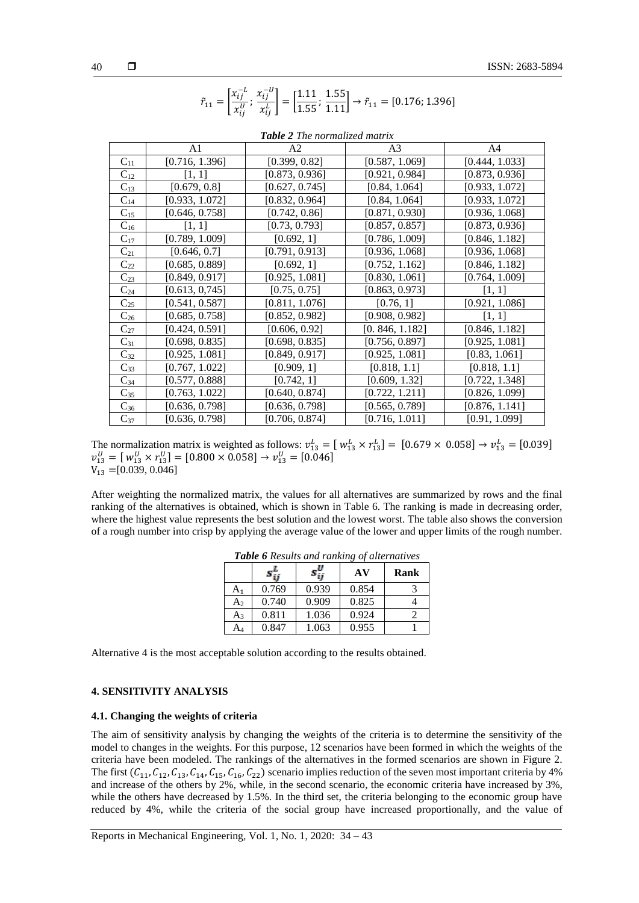| <b>Lable 2</b> The normalized matrix |                |                |                |                |  |  |  |  |  |
|--------------------------------------|----------------|----------------|----------------|----------------|--|--|--|--|--|
|                                      | A1             | A2             | A3             | A4             |  |  |  |  |  |
| $C_{11}$                             | [0.716, 1.396] | [0.399, 0.82]  | [0.587, 1.069] | [0.444, 1.033] |  |  |  |  |  |
| $C_{12}$                             | [1, 1]         | [0.873, 0.936] | [0.921, 0.984] | [0.873, 0.936] |  |  |  |  |  |
| $C_{13}$                             | [0.679, 0.8]   | [0.627, 0.745] | [0.84, 1.064]  | [0.933, 1.072] |  |  |  |  |  |
| $C_{14}$                             | [0.933, 1.072] | [0.832, 0.964] | [0.84, 1.064]  | [0.933, 1.072] |  |  |  |  |  |
| $C_{15}$                             | [0.646, 0.758] | [0.742, 0.86]  | [0.871, 0.930] | [0.936, 1.068] |  |  |  |  |  |
| $C_{16}$                             | [1, 1]         | [0.73, 0.793]  | [0.857, 0.857] | [0.873, 0.936] |  |  |  |  |  |
| $C_{17}$                             | [0.789, 1.009] | [0.692, 1]     | [0.786, 1.009] | [0.846, 1.182] |  |  |  |  |  |
| $C_{21}$                             | [0.646, 0.7]   | [0.791, 0.913] | [0.936, 1.068] | [0.936, 1.068] |  |  |  |  |  |
| $C_{22}$                             | [0.685, 0.889] | [0.692, 1]     | [0.752, 1.162] | [0.846, 1.182] |  |  |  |  |  |
| $C_{23}$                             | [0.849, 0.917] | [0.925, 1.081] | [0.830, 1.061] | [0.764, 1.009] |  |  |  |  |  |
| $C_{24}$                             | [0.613, 0.745] | [0.75, 0.75]   | [0.863, 0.973] | [1, 1]         |  |  |  |  |  |
| $C_{25}$                             | [0.541, 0.587] | [0.811, 1.076] | [0.76, 1]      | [0.921, 1.086] |  |  |  |  |  |
| $C_{26}$                             | [0.685, 0.758] | [0.852, 0.982] | [0.908, 0.982] | [1, 1]         |  |  |  |  |  |
| $C_{27}$                             | [0.424, 0.591] | [0.606, 0.92]  | [0.846, 1.182] | [0.846, 1.182] |  |  |  |  |  |
| $C_{31}$                             | [0.698, 0.835] | [0.698, 0.835] | [0.756, 0.897] | [0.925, 1.081] |  |  |  |  |  |
| $C_{32}$                             | [0.925, 1.081] | [0.849, 0.917] | [0.925, 1.081] | [0.83, 1.061]  |  |  |  |  |  |
| $C_{33}$                             | [0.767, 1.022] | [0.909, 1]     | [0.818, 1.1]   | [0.818, 1.1]   |  |  |  |  |  |
| $C_{34}$                             | [0.577, 0.888] | [0.742, 1]     | [0.609, 1.32]  | [0.722, 1.348] |  |  |  |  |  |
| $C_{35}$                             | [0.763, 1.022] | [0.640, 0.874] | [0.722, 1.211] | [0.826, 1.099] |  |  |  |  |  |
| $C_{36}$                             | [0.636, 0.798] | [0.636, 0.798] | [0.565, 0.789] | [0.876, 1.141] |  |  |  |  |  |
| $C_{37}$                             | [0.636, 0.798] | [0.706, 0.874] | [0.716, 1.011] | [0.91, 1.099]  |  |  |  |  |  |

*Table 2 The normalized matrix*

 $\left[\frac{x_{ij}^{-0}}{x_{ij}^{L}}\right] = \left[\frac{1.11}{1.55}; \frac{1.55}{1.11}\right] \rightarrow \tilde{r}_{11} = [0.176; 1.396]$ 

 $\tilde{r}_{11} = \left[\frac{x_{ij}^{-L}}{v^{U}}\right]$ 

 $\frac{x_{ij}^{-L}}{x_{ij}^U}; \frac{x_{ij}^{-U}}{x_{ij}^L}$ 

The normalization matrix is weighted as follows:  $v_{13}^L = [w_{13}^L \times r_{13}^L] = [0.679 \times 0.058] \rightarrow v_{13}^L = [0.039]$  $v_{13}^U = [w_{13}^U \times r_{13}^U] = [0.800 \times 0.058] \rightarrow v_{13}^U = [0.046]$  $V_{13} = [0.039, 0.046]$ 

After weighting the normalized matrix, the values for all alternatives are summarized by rows and the final ranking of the alternatives is obtained, which is shown in Table 6. The ranking is made in decreasing order, where the highest value represents the best solution and the lowest worst. The table also shows the conversion of a rough number into crisp by applying the average value of the lower and upper limits of the rough number.

| <b>Tuble</b> of Results and Tunking of alternatives |       |       |       |      |  |  |  |  |
|-----------------------------------------------------|-------|-------|-------|------|--|--|--|--|
|                                                     |       |       | AV    | Rank |  |  |  |  |
| A <sub>1</sub>                                      | 0.769 | 0.939 | 0.854 |      |  |  |  |  |
| $A_2$                                               | 0.740 | 0.909 | 0.825 |      |  |  |  |  |
| A3                                                  | 0.811 | 1.036 | 0.924 |      |  |  |  |  |
| A4                                                  | 0.847 | 1.063 | 0.955 |      |  |  |  |  |

*Table 6 Results and ranking of alternatives* 

Alternative 4 is the most acceptable solution according to the results obtained.

# **4. SENSITIVITY ANALYSIS**

#### **4.1. Changing the weights of criteria**

The aim of sensitivity analysis by changing the weights of the criteria is to determine the sensitivity of the model to changes in the weights. For this purpose, 12 scenarios have been formed in which the weights of the criteria have been modeled. The rankings of the alternatives in the formed scenarios are shown in Figure 2. The first  $(C_{11}, C_{12}, C_{13}, C_{14}, C_{15}, C_{16}, C_{22})$  scenario implies reduction of the seven most important criteria by 4% and increase of the others by 2%, while, in the second scenario, the economic criteria have increased by 3%, while the others have decreased by 1.5%. In the third set, the criteria belonging to the economic group have reduced by 4%, while the criteria of the social group have increased proportionally, and the value of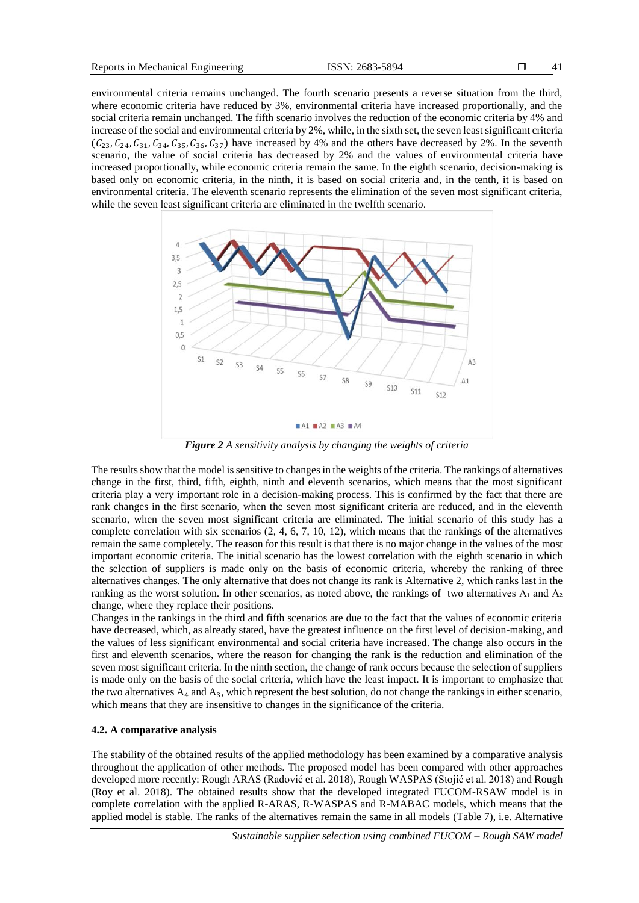environmental criteria remains unchanged. The fourth scenario presents a reverse situation from the third, where economic criteria have reduced by 3%, environmental criteria have increased proportionally, and the social criteria remain unchanged. The fifth scenario involves the reduction of the economic criteria by 4% and increase of the social and environmental criteria by 2%, while, in the sixth set, the seven least significant criteria  $(C_{23}, C_{24}, C_{34}, C_{34}, C_{35}, C_{36}, C_{37})$  have increased by 4% and the others have decreased by 2%. In the seventh scenario, the value of social criteria has decreased by 2% and the values of environmental criteria have increased proportionally, while economic criteria remain the same. In the eighth scenario, decision-making is based only on economic criteria, in the ninth, it is based on social criteria and, in the tenth, it is based on environmental criteria. The eleventh scenario represents the elimination of the seven most significant criteria, while the seven least significant criteria are eliminated in the twelfth scenario.



*Figure 2 A sensitivity analysis by changing the weights of criteria*

The results show that the model is sensitive to changes in the weights of the criteria. The rankings of alternatives change in the first, third, fifth, eighth, ninth and eleventh scenarios, which means that the most significant criteria play a very important role in a decision-making process. This is confirmed by the fact that there are rank changes in the first scenario, when the seven most significant criteria are reduced, and in the eleventh scenario, when the seven most significant criteria are eliminated. The initial scenario of this study has a complete correlation with six scenarios (2, 4, 6, 7, 10, 12), which means that the rankings of the alternatives remain the same completely. The reason for this result is that there is no major change in the values of the most important economic criteria. The initial scenario has the lowest correlation with the eighth scenario in which the selection of suppliers is made only on the basis of economic criteria, whereby the ranking of three alternatives changes. The only alternative that does not change its rank is Alternative 2, which ranks last in the ranking as the worst solution. In other scenarios, as noted above, the rankings of two alternatives  $A_1$  and  $A_2$ change, where they replace their positions.

Changes in the rankings in the third and fifth scenarios are due to the fact that the values of economic criteria have decreased, which, as already stated, have the greatest influence on the first level of decision-making, and the values of less significant environmental and social criteria have increased. The change also occurs in the first and eleventh scenarios, where the reason for changing the rank is the reduction and elimination of the seven most significant criteria. In the ninth section, the change of rank occurs because the selection of suppliers is made only on the basis of the social criteria, which have the least impact. It is important to emphasize that the two alternatives  $A_4$  and  $A_3$ , which represent the best solution, do not change the rankings in either scenario, which means that they are insensitive to changes in the significance of the criteria.

### **4.2. A comparative analysis**

The stability of the obtained results of the applied methodology has been examined by a comparative analysis throughout the application of other methods. The proposed model has been compared with other approaches developed more recently: Rough ARAS (Radović et al. 2018), Rough WASPAS (Stojić et al. 2018) and Rough (Roy et al. 2018). The obtained results show that the developed integrated FUCOM-RSAW model is in complete correlation with the applied R-ARAS, R-WASPAS and R-MABAC models, which means that the applied model is stable. The ranks of the alternatives remain the same in all models (Table 7), i.e. Alternative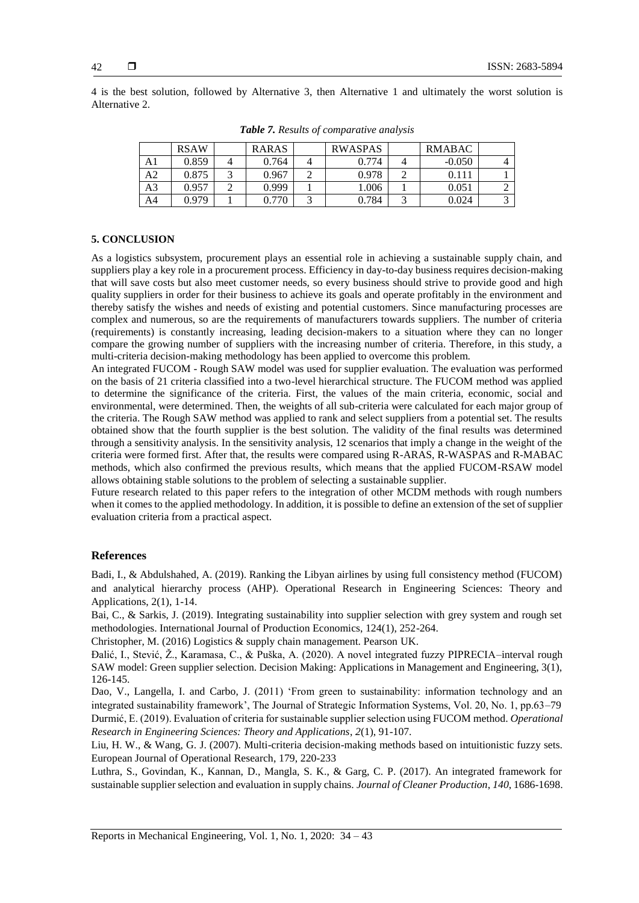4 is the best solution, followed by Alternative 3, then Alternative 1 and ultimately the worst solution is Alternative 2.

|                | <b>RSAW</b> | <b>RARAS</b> | <b>RWASPAS</b> | <b>RMABAC</b> |   |
|----------------|-------------|--------------|----------------|---------------|---|
| A1             | 0.859       | 0.764        | 0.774          | $-0.050$      |   |
| A2             | 0.875       | 0.967        | 0.978          | 0.111         |   |
| A <sub>3</sub> | 0.957       | 0.999        | 1.006          | 0.051         |   |
| A4             | 0.979       | 0.770        | 0.784          | 0.024         | ⌒ |

*Table 7. Results of comparative analysis*

# **5. CONCLUSION**

As a logistics subsystem, procurement plays an essential role in achieving a sustainable supply chain, and suppliers play a key role in a procurement process. Efficiency in day-to-day business requires decision-making that will save costs but also meet customer needs, so every business should strive to provide good and high quality suppliers in order for their business to achieve its goals and operate profitably in the environment and thereby satisfy the wishes and needs of existing and potential customers. Since manufacturing processes are complex and numerous, so are the requirements of manufacturers towards suppliers. The number of criteria (requirements) is constantly increasing, leading decision-makers to a situation where they can no longer compare the growing number of suppliers with the increasing number of criteria. Therefore, in this study, a multi-criteria decision-making methodology has been applied to overcome this problem.

An integrated FUCOM - Rough SAW model was used for supplier evaluation. The evaluation was performed on the basis of 21 criteria classified into a two-level hierarchical structure. The FUCOM method was applied to determine the significance of the criteria. First, the values of the main criteria, economic, social and environmental, were determined. Then, the weights of all sub-criteria were calculated for each major group of the criteria. The Rough SAW method was applied to rank and select suppliers from a potential set. The results obtained show that the fourth supplier is the best solution. The validity of the final results was determined through a sensitivity analysis. In the sensitivity analysis, 12 scenarios that imply a change in the weight of the criteria were formed first. After that, the results were compared using R-ARAS, R-WASPAS and R-MABAC methods, which also confirmed the previous results, which means that the applied FUCOM-RSAW model allows obtaining stable solutions to the problem of selecting a sustainable supplier.

Future research related to this paper refers to the integration of other MCDM methods with rough numbers when it comes to the applied methodology. In addition, it is possible to define an extension of the set of supplier evaluation criteria from a practical aspect.

## **References**

Badi, I., & Abdulshahed, A. (2019). Ranking the Libyan airlines by using full consistency method (FUCOM) and analytical hierarchy process (AHP). Operational Research in Engineering Sciences: Theory and Applications, 2(1), 1-14.

Bai, C., & Sarkis, J. (2019). Integrating sustainability into supplier selection with grey system and rough set methodologies. International Journal of Production Economics, 124(1), 252-264.

Christopher, M. (2016) Logistics & supply chain management. Pearson UK.

Đalić, I., Stević, Ž., Karamasa, C., & Puška, A. (2020). A novel integrated fuzzy PIPRECIA–interval rough SAW model: Green supplier selection. Decision Making: Applications in Management and Engineering, 3(1), 126-145.

Dao, V., Langella, I. and Carbo, J. (2011) 'From green to sustainability: information technology and an integrated sustainability framework', The Journal of Strategic Information Systems, Vol. 20, No. 1, pp.63–79 Durmić, E. (2019). Evaluation of criteria for sustainable supplier selection using FUCOM method. *Operational Research in Engineering Sciences: Theory and Applications*, *2*(1), 91-107.

Liu, H. W., & Wang, G. J. (2007). Multi-criteria decision-making methods based on intuitionistic fuzzy sets. European Journal of Operational Research, 179, 220-233

Luthra, S., Govindan, K., Kannan, D., Mangla, S. K., & Garg, C. P. (2017). An integrated framework for sustainable supplier selection and evaluation in supply chains. *Journal of Cleaner Production*, *140*, 1686-1698.